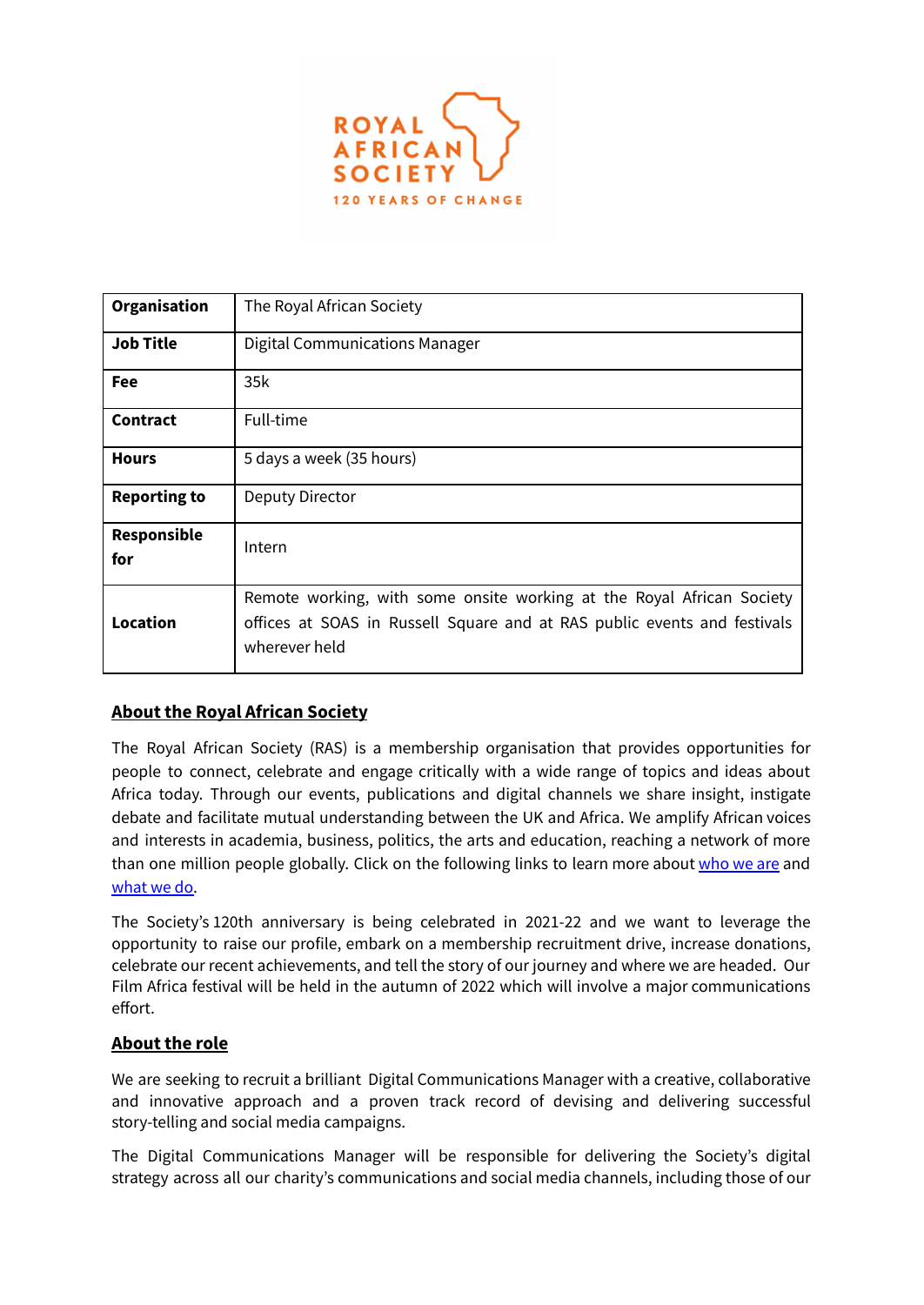

| Organisation              | The Royal African Society                                                                                                                                          |
|---------------------------|--------------------------------------------------------------------------------------------------------------------------------------------------------------------|
| <b>Job Title</b>          | <b>Digital Communications Manager</b>                                                                                                                              |
| Fee                       | 35k                                                                                                                                                                |
| Contract                  | Full-time                                                                                                                                                          |
| <b>Hours</b>              | 5 days a week (35 hours)                                                                                                                                           |
| <b>Reporting to</b>       | <b>Deputy Director</b>                                                                                                                                             |
| <b>Responsible</b><br>for | Intern                                                                                                                                                             |
| <b>Location</b>           | Remote working, with some onsite working at the Royal African Society<br>offices at SOAS in Russell Square and at RAS public events and festivals<br>wherever held |

# **About the Royal African Society**

The Royal African Society (RAS) is a membership organisation that provides opportunities for people to connect, celebrate and engage critically with a wide range of topics and ideas about Africa today. Through our events, publications and digital channels we share insight, instigate debate and facilitate mutual understanding between the UK and Africa. We amplify African voices and interests in academia, business, politics, the arts and education, reaching a network of more than one million people globally. Click on the following links to learn more about [who](https://royalafricansociety.org/about/mission/) we are and [what](https://royalafricansociety.org/whatwedo/) we do.

The Society's 120th anniversary is being celebrated in 2021-22 and we want to leverage the opportunity to raise our profile, embark on a membership recruitment drive, increase donations, celebrate our recent achievements, and tell the story of our journey and where we are headed. Our Film Africa festival will be held in the autumn of 2022 which will involve a major communications effort.

## **About the role**

We are seeking to recruit a brilliant Digital Communications Manager with a creative, collaborative and innovative approach and a proven track record of devising and delivering successful story-telling and social media campaigns.

The Digital Communications Manager will be responsible for delivering the Society's digital strategy across all our charity's communications and social media channels, including those of our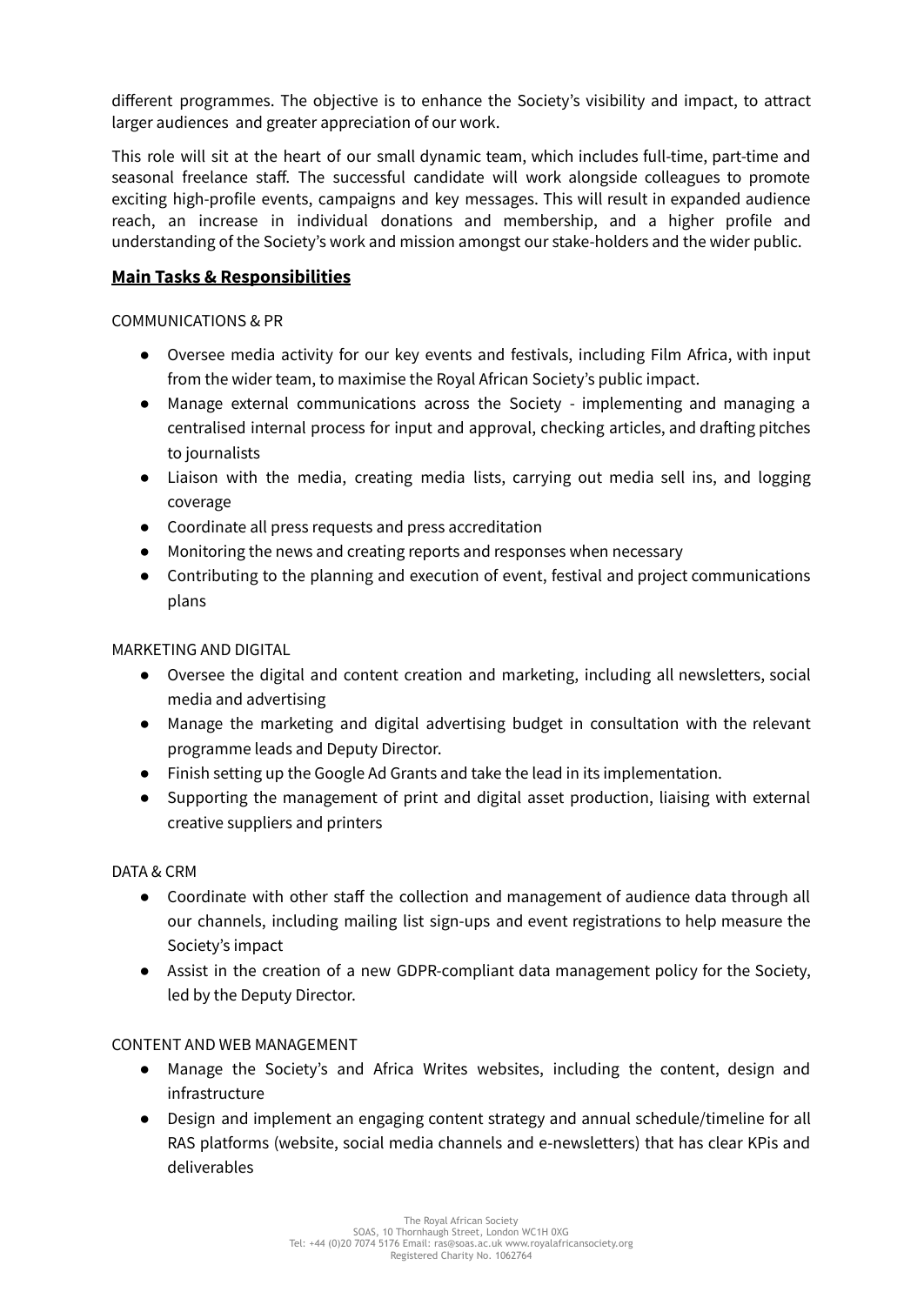different programmes. The objective is to enhance the Society's visibility and impact, to attract larger audiences and greater appreciation of our work.

This role will sit at the heart of our small dynamic team, which includes full-time, part-time and seasonal freelance staff. The successful candidate will work alongside colleagues to promote exciting high-profile events, campaigns and key messages. This will result in expanded audience reach, an increase in individual donations and membership, and a higher profile and understanding of the Society's work and mission amongst our stake-holders and the wider public.

### **Main Tasks & Responsibilities**

#### COMMUNICATIONS & PR

- Oversee media activity for our key events and festivals, including Film Africa, with input from the wider team, to maximise the Royal African Society's public impact.
- Manage external communications across the Society implementing and managing a centralised internal process for input and approval, checking articles, and drafting pitches to journalists
- Liaison with the media, creating media lists, carrying out media sell ins, and logging coverage
- Coordinate all press requests and press accreditation
- Monitoring the news and creating reports and responses when necessary
- Contributing to the planning and execution of event, festival and project communications plans

#### MARKETING AND DIGITAL

- Oversee the digital and content creation and marketing, including all newsletters, social media and advertising
- Manage the marketing and digital advertising budget in consultation with the relevant programme leads and Deputy Director.
- Finish setting up the Google Ad Grants and take the lead in its implementation.
- Supporting the management of print and digital asset production, liaising with external creative suppliers and printers

#### DATA & CRM

- Coordinate with other staff the collection and management of audience data through all our channels, including mailing list sign-ups and event registrations to help measure the Society's impact
- Assist in the creation of a new GDPR-compliant data management policy for the Society, led by the Deputy Director.

#### CONTENT AND WEB MANAGEMENT

- Manage the Society's and Africa Writes websites, including the content, design and infrastructure
- Design and implement an engaging content strategy and annual schedule/timeline for all RAS platforms (website, social media channels and e-newsletters) that has clear KPis and deliverables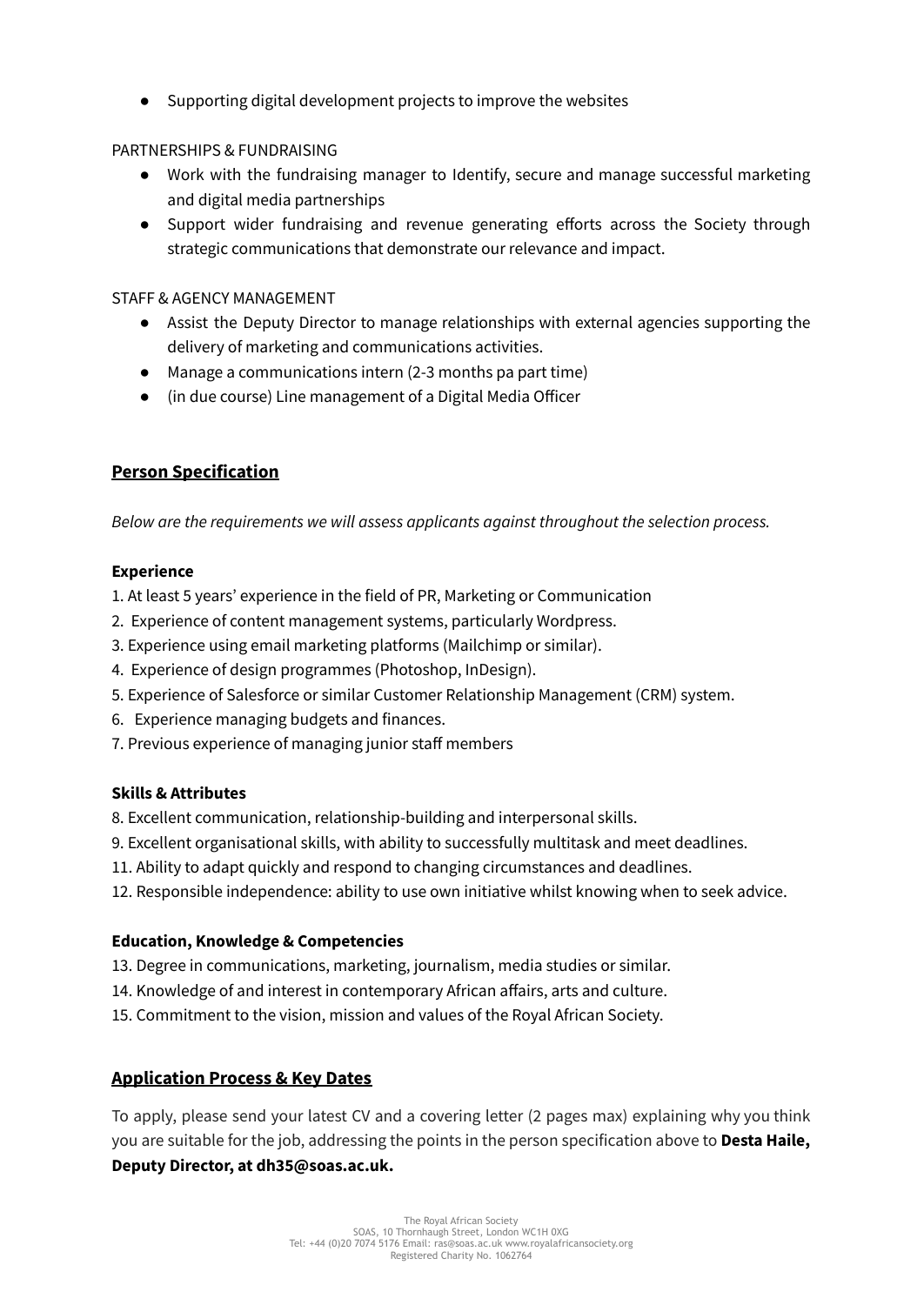● Supporting digital development projects to improve the websites

### PARTNERSHIPS & FUNDRAISING

- Work with the fundraising manager to Identify, secure and manage successful marketing and digital media partnerships
- Support wider fundraising and revenue generating efforts across the Society through strategic communications that demonstrate our relevance and impact.

### STAFF & AGENCY MANAGEMENT

- Assist the Deputy Director to manage relationships with external agencies supporting the delivery of marketing and communications activities.
- Manage a communications intern (2-3 months pa part time)
- (in due course) Line management of a Digital Media Officer

# **Person Specification**

*Below are the requirements we will assess applicants against throughout the selection process.*

#### **Experience**

- 1. At least 5 years' experience in the field of PR, Marketing or Communication
- 2. Experience of content management systems, particularly Wordpress.
- 3. Experience using email marketing platforms (Mailchimp or similar).
- 4. Experience of design programmes (Photoshop, InDesign).
- 5. Experience of Salesforce or similar Customer Relationship Management (CRM) system.
- 6. Experience managing budgets and finances.
- 7. Previous experience of managing junior staff members

#### **Skills & Attributes**

8. Excellent communication, relationship-building and interpersonal skills.

- 9. Excellent organisational skills, with ability to successfully multitask and meet deadlines.
- 11. Ability to adapt quickly and respond to changing circumstances and deadlines.
- 12. Responsible independence: ability to use own initiative whilst knowing when to seek advice.

#### **Education, Knowledge & Competencies**

- 13. Degree in communications, marketing, journalism, media studies or similar.
- 14. Knowledge of and interest in contemporary African affairs, arts and culture.
- 15. Commitment to the vision, mission and values of the Royal African Society.

## **Application Process & Key Dates**

To apply, please send your latest CV and a covering letter (2 pages max) explaining why you think you are suitable for the job, addressing the points in the person specification above to **Desta Haile, Deputy Director, at dh35@soas.ac.uk.**